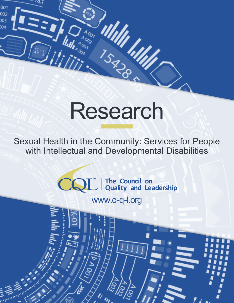# Research

ululi<br>15. Mille

**WINTERS** 

iliji

001 002

003 m

> Sexual Health in the Community: Services for People with Intellectual and Developmental Disabilities

> > SM **The Council on Quality and Leadership**

> > > www.c-q-l.org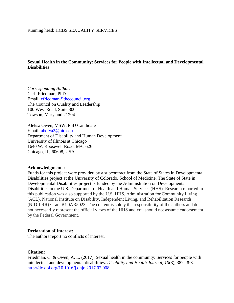## **Sexual Health in the Community: Services for People with Intellectual and Developmental Disabilities**

*Corresponding Author:*  Carli Friedman, PhD Email: [cfriedman@thecouncil.org](mailto:cfriedman@thecouncil.org) The Council on Quality and Leadership 100 West Road, Suite 300 Towson, Maryland 21204

Aleksa Owen, MSW, PhD Candidate Email: [abolya2@uic.edu](mailto:abolya2@uic.edu) Department of Disability and Human Development University of Illinois at Chicago 1640 W. Roosevelt Road, M/C 626 Chicago, IL, 60608, USA

#### **Acknowledgments:**

Funds for this project were provided by a subcontract from the State of States in Developmental Disabilities project at the University of Colorado, School of Medicine. The State of State in Developmental Disabilities project is funded by the Administration on Developmental Disabilities in the U.S. Department of Health and Human Services (HHS). Research reported in this publication was also supported by the U.S. HHS, Administration for Community Living (ACL), National Institute on Disability, Independent Living, and Rehabilitation Research (NIDILRR) Grant # 90AR5023. The content is solely the responsibility of the authors and does not necessarily represent the official views of the HHS and you should not assume endorsement by the Federal Government.

#### **Declaration of Interest:**

The authors report no conflicts of interest.

#### **Citation:**

Friedman, C. & Owen, A. L. (2017). Sexual health in the community: Services for people with intellectual and developmental disabilities. *Disability and Health Journal, 10*(3), 387–393*.* <http://dx.doi.org/10.1016/j.dhjo.2017.02.008>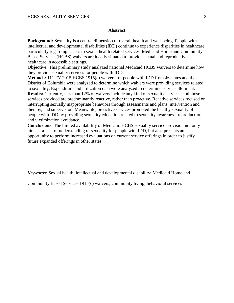#### **Abstract**

**Background:** Sexuality is a central dimension of overall health and well-being. People with intellectual and developmental disabilities (IDD) continue to experience disparities in healthcare, particularly regarding access to sexual health related services. Medicaid Home and Community-Based Services (HCBS) waivers are ideally situated to provide sexual and reproductive healthcare in accessible settings.

**Objective:** This preliminary study analyzed national Medicaid HCBS waivers to determine how they provide sexuality services for people with IDD.

**Methods:** 111 FY 2015 HCBS 1915(c) waivers for people with IDD from 46 states and the District of Columbia were analyzed to determine which waivers were providing services related to sexuality. Expenditure and utilization data were analyzed to determine service allotment. **Results:** Currently, less than 12% of waivers include any kind of sexuality services, and those services provided are predominantly reactive, rather than proactive. Reactive services focused on interrupting sexually inappropriate behaviors through assessments and plans, intervention and therapy, and supervision. Meanwhile, proactive services promoted the healthy sexuality of people with IDD by providing sexuality education related to sexuality awareness, reproduction, and victimization avoidance.

**Conclusions:** The limited availability of Medicaid HCBS sexuality service provision not only hints at a lack of understanding of sexuality for people with IDD, but also presents an opportunity to perform increased evaluations on current service offerings in order to justify future expanded offerings in other states.

*Keywords:* Sexual health; intellectual and developmental disability; Medicaid Home and

Community Based Services 1915(c) waivers; community living; behavioral services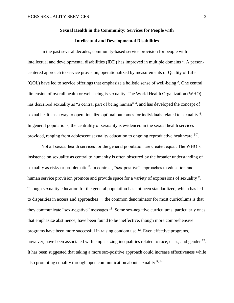# **Sexual Health in the Community: Services for People with Intellectual and Developmental Disabilities**

In the past several decades, community-based service provision for people with intellectual and developmental disabilities (IDD) has improved in multiple domains  $^1$ . A personcentered approach to service provision, operationalized by measurements of Quality of Life (QOL) have led to service offerings that emphasize a holistic sense of well-being  $2$ . One central dimension of overall health or well-being is sexuality. The World Health Organization (WHO) has described sexuality as "a central part of being human"<sup>3</sup>, and has developed the concept of sexual health as a way to operationalize optimal outcomes for individuals related to sexuality  $4$ . In general populations, the centrality of sexuality is evidenced in the sexual health services provided, ranging from adolescent sexuality education to ongoing reproductive healthcare <sup>5-7</sup>.

Not all sexual health services for the general population are created equal. The WHO's insistence on sexuality as central to humanity is often obscured by the broader understanding of sexuality as risky or problematic <sup>8</sup>. In contrast, "sex-positive" approaches to education and human service provision promote and provide space for a variety of expressions of sexuality<sup>9</sup>, Though sexuality education for the general population has not been standardized, which has led to disparities in access and approaches  $10$ , the common denominator for most curriculums is that they communicate "sex-negative" messages  $11$ . Some sex-negative curriculums, particularly ones that emphasize abstinence, have been found to be ineffective, though more comprehensive programs have been more successful in raising condom use  $12$ . Even effective programs, however, have been associated with emphasizing inequalities related to race, class, and gender <sup>13</sup>. It has been suggested that taking a more sex-positive approach could increase effectiveness while also promoting equality through open communication about sexuality  $9,14$ .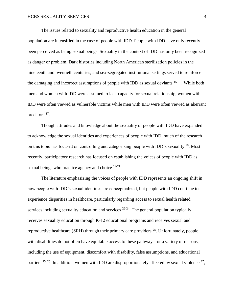The issues related to sexuality and reproductive health education in the general population are intensified in the case of people with IDD. People with IDD have only recently been perceived as being sexual beings. Sexuality in the context of IDD has only been recognized as danger or problem. Dark histories including North American sterilization policies in the nineteenth and twentieth centuries, and sex-segregated institutional settings served to reinforce the damaging and incorrect assumptions of people with IDD as sexual deviants 15, 16. While both men and women with IDD were assumed to lack capacity for sexual relationship, women with IDD were often viewed as vulnerable victims while men with IDD were often viewed as aberrant predators <sup>17</sup>.

Though attitudes and knowledge about the sexuality of people with IDD have expanded to acknowledge the sexual identities and experiences of people with IDD, much of the research on this topic has focused on controlling and categorizing people with IDD's sexuality <sup>18</sup>. Most recently, participatory research has focused on establishing the voices of people with IDD as sexual beings who practice agency and choice  $19-21$ .

The literature emphasizing the voices of people with IDD represents an ongoing shift in how people with IDD's sexual identities are conceptualized, but people with IDD continue to experience disparities in healthcare, particularly regarding access to sexual health related services including sexuality education and services  $22-24$ . The general population typically receives sexuality education through K-12 educational programs and receives sexual and reproductive healthcare (SRH) through their primary care providers <sup>25</sup>. Unfortunately, people with disabilities do not often have equitable access to these pathways for a variety of reasons, including the use of equipment, discomfort with disability, false assumptions, and educational barriers  $25, 26$ . In addition, women with IDD are disproportionately affected by sexual violence  $27$ ,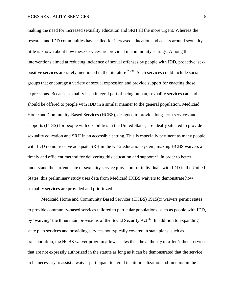making the need for increased sexuality education and SRH all the more urgent. Whereas the research and IDD communities have called for increased education and access around sexuality, little is known about how these services are provided in community settings. Among the interventions aimed at reducing incidence of sexual offenses by people with IDD, proactive, sexpositive services are rarely mentioned in the literature <sup>28-31</sup>. Such services could include social groups that encourage a variety of sexual expression and provide support for enacting those expressions. Because sexuality is an integral part of being human, sexuality services can and should be offered to people with IDD in a similar manner to the general population. Medicaid Home and Community-Based Services (HCBS), designed to provide long-term services and supports (LTSS) for people with disabilities in the United States, are ideally situated to provide sexuality education and SRH in an accessible setting. This is especially pertinent as many people with IDD do not receive adequate SRH in the K-12 education system, making HCBS waivers a timely and efficient method for delivering this education and support  $25$ . In order to better understand the current state of sexuality service provision for individuals with IDD in the United States, this preliminary study uses data from Medicaid HCBS waivers to demonstrate how sexuality services are provided and prioritized.

Medicaid Home and Community Based Services (HCBS) 1915(c) waivers permit states to provide community-based services tailored to particular populations, such as people with IDD, by 'waiving' the three main provisions of the Social Security Act <sup>32</sup>. In addition to expanding state plan services and providing services not typically covered in state plans, such as transportation, the HCBS waiver program allows states the "the authority to offer 'other' services that are not expressly authorized in the statute as long as it can be demonstrated that the service to be necessary to assist a waiver participant to avoid institutionalization and function in the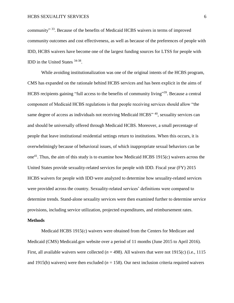community"<sup>33</sup>. Because of the benefits of Medicaid HCBS waivers in terms of improved community outcomes and cost effectiveness, as well as because of the preferences of people with IDD, HCBS waivers have become one of the largest funding sources for LTSS for people with IDD in the United States <sup>34-38</sup>.

While avoiding institutionalization was one of the original intents of the HCBS program, CMS has expanded on the rationale behind HCBS services and has been explicit in the aims of HCBS recipients gaining "full access to the benefits of community living"<sup>39</sup>. Because a central component of Medicaid HCBS regulations is that people receiving services should allow "the same degree of access as individuals not receiving Medicaid HCBS" <sup>40</sup>, sexuality services can and should be universally offered through Medicaid HCBS. Moreover, a small percentage of people that leave institutional residential settings return to institutions. When this occurs, it is overwhelmingly because of behavioral issues, of which inappropriate sexual behaviors can be one<sup>41</sup>. Thus, the aim of this study is to examine how Medicaid HCBS 1915(c) waivers across the United States provide sexuality-related services for people with IDD. Fiscal year (FY) 2015 HCBS waivers for people with IDD were analyzed to determine how sexuality-related services were provided across the country. Sexuality-related services' definitions were compared to determine trends. Stand-alone sexuality services were then examined further to determine service provisions, including service utilization, projected expenditures, and reimbursement rates.

#### **Methods**

Medicaid HCBS 1915(c) waivers were obtained from the Centers for Medicare and Medicaid (CMS) Medicaid.gov website over a period of 11 months (June 2015 to April 2016). First, all available waivers were collected  $(n = 498)$ . All waivers that were not 1915(c) (i.e., 1115 and 1915(b) waivers) were then excluded ( $n = 158$ ). Our next inclusion criteria required waivers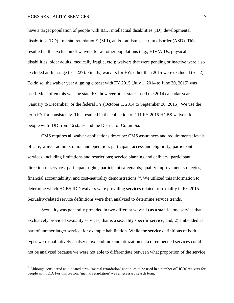$\overline{a}$ 

have a target population of people with IDD: intellectual disabilities (ID), developmental disabilities (DD), 'mental retardation<sup>1</sup>' (MR), and/or autism spectrum disorder (ASD). This resulted in the exclusion of waivers for all other populations (e.g., HIV/AIDs, physical disabilities, older adults, medically fragile, etc.); waivers that were pending or inactive were also excluded at this stage ( $n = 227$ ). Finally, waivers for FYs other than 2015 were excluded ( $n = 2$ ). To do so, the waiver year aligning closest with FY 2015 (July 1, 2014 to June 30, 2015) was used. Most often this was the state FY, however other states used the 2014 calendar year (January to December) or the federal FY (October 1, 2014 to September 30, 2015). We use the term FY for consistency. This resulted in the collection of 111 FY 2015 HCBS waivers for people with IDD from 46 states and the District of Columbia.

CMS requires all waiver applications describe: CMS assurances and requirements; levels of care; waiver administration and operation; participant access and eligibility; participant services, including limitations and restrictions; service planning and delivery; participant direction of services; participant rights; participant safeguards; quality improvement strategies; financial accountability; and cost-neutrality demonstrations  $33$ . We utilized this information to determine which HCBS IDD waivers were providing services related to sexuality in FY 2015. Sexuality-related service definitions were then analyzed to determine service trends.

Sexuality was generally provided in two different ways: 1) as a stand-alone service that exclusively provided sexuality services, that is a sexuality specific service; and, 2) embedded as part of another larger service, for example habilitation. While the service definitions of both types were qualitatively analyzed, expenditure and utilization data of embedded services could not be analyzed because we were not able to differentiate between what proportion of the service

<sup>&</sup>lt;sup>1</sup> Although considered an outdated term, 'mental retardation' continues to be used in a number of HCBS waivers for people with IDD. For this reason, 'mental retardation' was a necessary search term.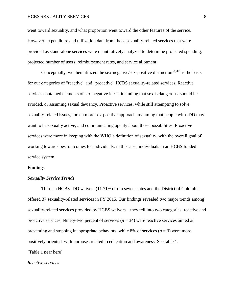#### HCBS SEXUALITY SERVICES 8

went toward sexuality, and what proportion went toward the other features of the service. However, expenditure and utilization data from those sexuality-related services that were provided as stand-alone services were quantitatively analyzed to determine projected spending, projected number of users, reimbursement rates, and service allotment.

Conceptually, we then utilized the sex-negative/sex-positive distinction  $8,42$  as the basis for our categories of "reactive" and "proactive" HCBS sexuality-related services. Reactive services contained elements of sex-negative ideas, including that sex is dangerous, should be avoided, or assuming sexual deviancy. Proactive services, while still attempting to solve sexuality-related issues, took a more sex-positive approach, assuming that people with IDD may want to be sexually active, and communicating openly about those possibilities. Proactive services were more in keeping with the WHO's definition of sexuality, with the overall goal of working towards best outcomes for individuals; in this case, individuals in an HCBS funded service system.

#### **Findings**

#### *Sexuality Service Trends*

Thirteen HCBS IDD waivers (11.71%) from seven states and the District of Columbia offered 37 sexuality-related services in FY 2015. Our findings revealed two major trends among sexuality-related services provided by HCBS waivers – they fell into two categories: reactive and proactive services. Ninety-two percent of services (*n* = 34) were reactive services aimed at preventing and stopping inappropriate behaviors, while 8% of services  $(n = 3)$  were more positively oriented, with purposes related to education and awareness. See table 1. [Table 1 near here]

*Reactive services*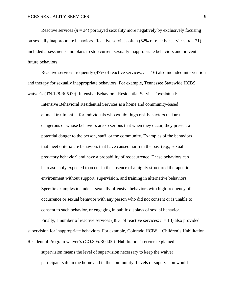Reactive services ( $n = 34$ ) portrayed sexuality more negatively by exclusively focusing on sexually inappropriate behaviors. Reactive services often  $(62\%$  of reactive services;  $n = 21$ ) included assessments and plans to stop current sexually inappropriate behaviors and prevent future behaviors.

Reactive services frequently (47% of reactive services;  $n = 16$ ) also included intervention and therapy for sexually inappropriate behaviors. For example, Tennessee Statewide HCBS waiver's (TN.128.R05.00) 'Intensive Behavioral Residential Services' explained:

Intensive Behavioral Residential Services is a home and community-based clinical treatment… for individuals who exhibit high risk behaviors that are dangerous or whose behaviors are so serious that when they occur, they present a potential danger to the person, staff, or the community. Examples of the behaviors that meet criteria are behaviors that have caused harm in the past (e.g., sexual predatory behavior) and have a probability of reoccurrence. These behaviors can be reasonably expected to occur in the absence of a highly structured therapeutic environment without support, supervision, and training in alternative behaviors. Specific examples include… sexually offensive behaviors with high frequency of occurrence or sexual behavior with any person who did not consent or is unable to consent to such behavior, or engaging in public displays of sexual behavior.

Finally, a number of reactive services  $(38\%$  of reactive services;  $n = 13$ ) also provided supervision for inappropriate behaviors. For example, Colorado HCBS – Children's Habilitation Residential Program waiver's (CO.305.R04.00) 'Habilitation' service explained:

supervision means the level of supervision necessary to keep the waiver participant safe in the home and in the community. Levels of supervision would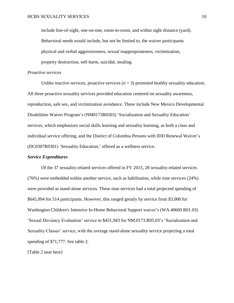include line-of-sight, one-on-one, room-to-room, and within sight distance (yard). Behavioral needs would include, but not be limited to, the waiver participants physical and verbal aggressiveness, sexual inappropriateness, victimization, property destruction, self-harm, suicidal, stealing.

#### *Proactive services*

Unlike reactive services, proactive services  $(n = 3)$  promoted healthy sexuality education. All three proactive sexuality services provided education centered on sexuality awareness, reproduction, safe sex, and victimization avoidance. These include New Mexico Developmental Disabilities Waiver Program's (NM0173R0503) 'Socialization and Sexuality Education' services, which emphasizes social skills learning and sexuality learning, as both a class and individual service offering, and the District of Columbia Persons with IDD Renewal Waiver's (DC0307R0301) 'Sexuality Education,' offered as a wellness service.

#### *Service Expenditures*

Of the 37 sexuality-related services offered in FY 2015, 28 sexuality-related services (76%) were embedded within another service, such as habilitation, while nine services (24%) were provided as stand-alone services. These nine services had a total projected spending of \$645,994 for 514 participants. However, this ranged greatly by service from \$3,000 for Washington Children's Intensive In-Home Behavioral Support waiver's (WA.40669.R01.03) 'Sexual Deviancy Evaluation' service to \$431,943 for NM.0173.R05.03's 'Socialization and Sexuality Classes' service, with the average stand-alone sexuality service projecting a total spending of \$71,777. See table 2.

[Table 2 near here]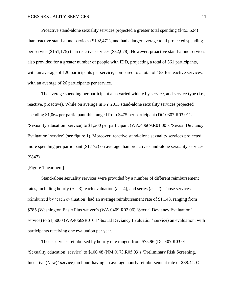Proactive stand-alone sexuality services projected a greater total spending (\$453,524) than reactive stand-alone services (\$192,471), and had a larger average total projected spending per service (\$151,175) than reactive services (\$32,078). However, proactive stand-alone services also provided for a greater number of people with IDD, projecting a total of 361 participants, with an average of 120 participants per service, compared to a total of 153 for reactive services, with an average of 26 participants per service.

The average spending per participant also varied widely by service, and service type (i.e., reactive, proactive). While on average in FY 2015 stand-alone sexuality services projected spending \$1,064 per participant this ranged from \$475 per participant (DC.0307.R03.01's 'Sexuality education' service) to \$1,500 per participant (WA.40669.R01.00's 'Sexual Deviancy Evaluation' service) (see figure 1). Moreover, reactive stand-alone sexuality services projected more spending per participant (\$1,172) on average than proactive stand-alone sexuality services (\$847).

#### [Figure 1 near here]

Stand-alone sexuality services were provided by a number of different reimbursement rates, including hourly  $(n = 3)$ , each evaluation  $(n = 4)$ , and series  $(n = 2)$ . Those services reimbursed by 'each evaluation' had an average reimbursement rate of \$1,143, ranging from \$785 (Washington Basic Plus waiver's (WA.0409.R02.06) 'Sexual Deviancy Evaluation' service) to \$1,5000 (WA40669R0103 'Sexual Deviancy Evaluation' service) an evaluation, with participants receiving one evaluation per year.

Those services reimbursed by hourly rate ranged from \$75.96 (DC.307.R03.01's 'Sexuality education' service) to \$106.48 (NM.0173.R05.03's 'Preliminary Risk Screening, Incentive (New)' service) an hour, having an average hourly reimbursement rate of \$88.44. Of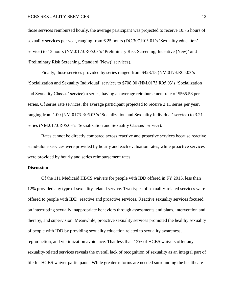those services reimbursed hourly, the average participant was projected to receive 10.75 hours of sexuality services per year, ranging from 6.25 hours (DC.307.R03.01's 'Sexuality education' service) to 13 hours (NM.0173.R05.03's 'Preliminary Risk Screening, Incentive (New)' and 'Preliminary Risk Screening, Standard (New)' services).

Finally, those services provided by series ranged from \$423.15 (NM.0173.R05.03's 'Socialization and Sexuality Individual' service) to \$708.00 (NM.0173.R05.03's 'Socialization and Sexuality Classes' service) a series, having an average reimbursement rate of \$565.58 per series. Of series rate services, the average participant projected to receive 2.11 series per year, ranging from 1.00 (NM.0173.R05.03's 'Socialization and Sexuality Individual' service) to 3.21 series (NM.0173.R05.03's 'Socialization and Sexuality Classes' service).

Rates cannot be directly compared across reactive and proactive services because reactive stand-alone services were provided by hourly and each evaluation rates, while proactive services were provided by hourly and series reimbursement rates.

#### **Discussion**

Of the 111 Medicaid HBCS waivers for people with IDD offered in FY 2015, less than 12% provided any type of sexuality-related service. Two types of sexuality-related services were offered to people with IDD: reactive and proactive services. Reactive sexuality services focused on interrupting sexually inappropriate behaviors through assessments and plans, intervention and therapy, and supervision. Meanwhile, proactive sexuality services promoted the healthy sexuality of people with IDD by providing sexuality education related to sexuality awareness, reproduction, and victimization avoidance. That less than 12% of HCBS waivers offer any sexuality-related services reveals the overall lack of recognition of sexuality as an integral part of life for HCBS waiver participants. While greater reforms are needed surrounding the healthcare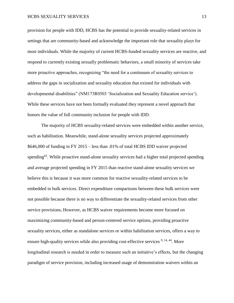provision for people with IDD, HCBS has the potential to provide sexuality-related services in settings that are community-based and acknowledge the important role that sexuality plays for most individuals. While the majority of current HCBS-funded sexuality services are reactive, and respond to currently existing sexually problematic behaviors, a small minority of services take more proactive approaches, recognizing "the need for a continuum of sexuality services to address the gaps in socialization and sexuality education that existed for individuals with developmental disabilities" (NM173R0503 'Socialization and Sexuality Education service'). While these services have not been formally evaluated they represent a novel approach that honors the value of full community inclusion for people with IDD.

The majority of HCBS sexuality-related services were embedded within another service, such as habilitation. Meanwhile, stand-alone sexuality services projected approximately \$646,000 of funding in FY 2015 – less than .01% of total HCBS IDD waiver projected spending<sup>43</sup>. While proactive stand-alone sexuality services had a higher total projected spending and average projected spending in FY 2015 than reactive stand-alone sexuality services we believe this is because it was more common for reactive sexuality-related services to be embedded in bulk services. Direct expenditure comparisons between these bulk services were not possible because there is no way to differentiate the sexuality-related services from other service provisions**.** However, as HCBS waiver requirements become more focused on maximizing community-based and person-centered service options, providing proactive sexuality services, either as standalone services or within habilitation services, offers a way to ensure high-quality services while also providing cost-effective services <sup>9, 14, 44</sup>. More longitudinal research is needed in order to measure such an initiative's effects, but the changing paradigm of service provision, including increased usage of demonstration waivers within an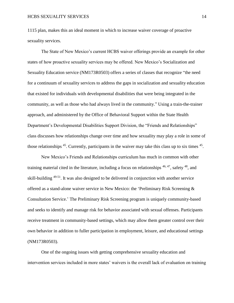1115 plan, makes this an ideal moment in which to increase waiver coverage of proactive sexuality services.

The State of New Mexico's current HCBS waiver offerings provide an example for other states of how proactive sexuality services may be offered. New Mexico's Socialization and Sexuality Education service (NM173R0503) offers a series of classes that recognize "the need for a continuum of sexuality services to address the gaps in socialization and sexuality education that existed for individuals with developmental disabilities that were being integrated in the community, as well as those who had always lived in the community." Using a train-the-trainer approach, and administered by the Office of Behavioral Support within the State Health Department's Developmental Disabilities Support Division, the "Friends and Relationships" class discusses how relationships change over time and how sexuality may play a role in some of those relationships  $45$ . Currently, participants in the waiver may take this class up to six times  $45$ .

New Mexico's Friends and Relationships curriculum has much in common with other training material cited in the literature, including a focus on relationships <sup>46, 47</sup>, safety <sup>48</sup>, and skill-building 49-51. It was also designed to be delivered in conjunction with another service offered as a stand-alone waiver service in New Mexico: the 'Preliminary Risk Screening & Consultation Service.' The Preliminary Risk Screening program is uniquely community-based and seeks to identify and manage risk for behavior associated with sexual offenses. Participants receive treatment in community-based settings, which may allow them greater control over their own behavior in addition to fuller participation in employment, leisure, and educational settings (NM173R0503).

One of the ongoing issues with getting comprehensive sexuality education and intervention services included in more states' waivers is the overall lack of evaluation on training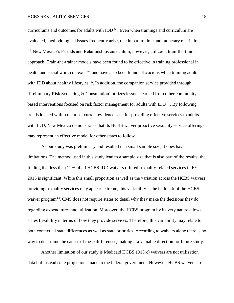curriculums and outcomes for adults with IDD  $^{52}$ . Even when trainings and curriculum are evaluated, methodological issues frequently arise, due in part to time and monetary restrictions <sup>53</sup>. New Mexico's Friends and Relationships curriculum, however, utilizes a train-the-trainer approach. Train-the-trainer models have been found to be effective in training professional in health and social work contexts <sup>54</sup>, and have also been found efficacious when training adults with IDD about healthy lifestyles <sup>55</sup>. In addition, the companion service provided through 'Preliminary Risk Screening & Consultation' utilizes lessons learned from other communitybased interventions focused on risk factor management for adults with IDD <sup>56</sup>. By following trends located within the most current evidence base for providing effective services to adults with IDD, New Mexico demonstrates that its HCBS waiver proactive sexuality service offerings may represent an effective model for other states to follow.

As our study was preliminary and resulted in a small sample size, it does have limitations. The method used in this study lead to a sample size that is also part of the results; the finding that less than 12% of all HCBS IDD waivers offered sexuality-related services in FY 2015 is significant. While this small proportion as well as the variation across the HCBS waivers providing sexuality services may appear extreme, this variability is the hallmark of the HCBS waiver program<sup>43</sup>. CMS does not require states to detail why they make the decisions they do regarding expenditures and utilization. Moreover, the HCBS program by its very nature allows states flexibility in terms of how they provide services. Therefore, this variability may relate to both contextual state differences as well as state priorities. According to waivers alone there is no way to determine the causes of these differences, making it a valuable direction for future study.

Another limitation of our study is Medicaid HCBS 1915(c) waivers are not utilization data but instead state projections made to the federal government. However, HCBS waivers are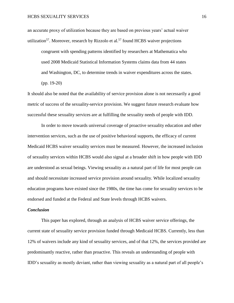an accurate proxy of utilization because they are based on previous years' actual waiver utilization<sup>57</sup>. Moreover, research by Rizzolo et al.<sup>57</sup> found HCBS waiver projections

congruent with spending patterns identified by researchers at Mathematica who used 2008 Medicaid Statistical Information Systems claims data from 44 states and Washington, DC, to determine trends in waiver expenditures across the states. (pp. 19-20)

It should also be noted that the availability of service provision alone is not necessarily a good metric of success of the sexuality-service provision. We suggest future research evaluate how successful these sexuality services are at fulfilling the sexuality needs of people with IDD.

In order to move towards universal coverage of proactive sexuality education and other intervention services, such as the use of positive behavioral supports, the efficacy of current Medicaid HCBS waiver sexuality services must be measured. However, the increased inclusion of sexuality services within HCBS would also signal at a broader shift in how people with IDD are understood as sexual beings. Viewing sexuality as a natural part of life for most people can and should necessitate increased service provision around sexuality. While localized sexuality education programs have existed since the 1980s, the time has come for sexuality services to be endorsed and funded at the Federal and State levels through HCBS waivers.

#### *Conclusion*

This paper has explored, through an analysis of HCBS waiver service offerings, the current state of sexuality service provision funded through Medicaid HCBS. Currently, less than 12% of waivers include any kind of sexuality services, and of that 12%, the services provided are predominantly reactive, rather than proactive. This reveals an understanding of people with IDD's sexuality as mostly deviant, rather than viewing sexuality as a natural part of all people's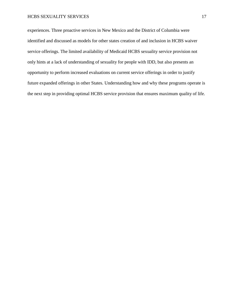#### HCBS SEXUALITY SERVICES 17

experiences. Three proactive services in New Mexico and the District of Columbia were identified and discussed as models for other states creation of and inclusion in HCBS waiver service offerings. The limited availability of Medicaid HCBS sexuality service provision not only hints at a lack of understanding of sexuality for people with IDD, but also presents an opportunity to perform increased evaluations on current service offerings in order to justify future expanded offerings in other States. Understanding how and why these programs operate is the next step in providing optimal HCBS service provision that ensures maximum quality of life.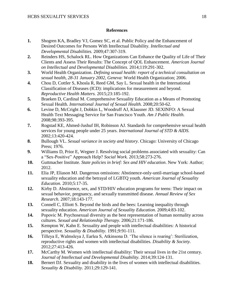#### **References**

- **1.** Shogren KA, Bradley VJ, Gomez SC, et al. Public Policy and the Enhancement of Desired Outcomes for Persons With Intellectual Disability. *Intellectual and Developmental Disabilities.* 2009;47:307-319.
- **2.** Reinders HS, Schalock RL. How Organizations Can Enhance the Quality of Life of Their Clients and Assess Their Results: The Concept of QOL Enhancement. *American Journal on Intellectual and Developmental Disabilities.* 2014;119:291-302.
- **3.** World Health Organization. *Defining sexual health: report of a technical consultation on sexual health, 28-31 January 2002, Geneva*: World Health Organization; 2006.
- **4.** Chou D, Cottler S, Khosla R, Reed GM, Say L. Sexual health in the International Classification of Diseases (ICD): implications for measurement and beyond. *Reproductive Health Matters.* 2015;23:185-192.
- **5.** Braeken D, Cardinal M. Comprehensive Sexuality Education as a Means of Promoting Sexual Health. *International Journal of Sexual Health.* 2008;20:50-62.
- **6.** Levine D, McCright J, Dobkin L, Woodruff AJ, Klausner JD. SEXINFO: A Sexual Health Text Messaging Service for San Francisco Youth. *Am J Public Health.* 2008;98:393-395.
- **7.** Rogstad KE, Ahmed-Jushuf IH, Robinson AJ. Standards for comprehensive sexual health services for young people under 25 years. *International Journal of STD & AIDS.* 2002;13:420-424.
- **8.** Bullough VL. *Sexual variance in society and history*. Chicago: University of Chicago Press; 1976.
- **9.** Williams D, Prior E, Wegner J. Resolving social problems associated with sexuality: Can a "Sex-Positive" Approach Help? *Social Work.* 2013;58:273-276.
- **10.** Guttmacher Institute. *State policies in brief: Sex and HIV education*. New York: Author; 2012.
- **11.** Elia JP, Eliason MJ. Dangerous omissions: Abstinence-only-until-marriage school-based sexuality education and the betrayal of LGBTQ youth. *American Journal of Sexuality Education.* 2010;5:17-35.
- **12.** Kirby D. Abstinence, sex, and STD/HIV education programs for teens: Their impact on sexual behavior, pregnancy, and sexually transmitted disease. *Annual Review of Sex Research.* 2007;18:143-177.
- **13.** Connell C, Elliott S. Beyond the birds and the bees: Learning inequality through sexuality education. *American Journal of Sexuality Education.* 2009;4:83-102.
- **14.** Popovic M. Psychosexual diversity as the best representation of human normality across cultures. *Sexual and Relationship Therapy.* 2006;21:171-186.
- **15.** Kempton W, Kahn E. Sexuality and people with intellectual disabilities: A historical perspective. *Sexuality & Disability.* 1991;9:91-111.
- **16.** Tilleya E, Walmsleya J, Earlea S, Atkinsona D. 'The silence is roaring': Sterilization, reproductive rights and women with intellectual disabilities. *Disability & Society.* 2012;27:413-426.
- **17.** McCarthy M. Women with intellectual disability: Their sexual lives in the 21st century. *Journal of Intellectual and Developmental Disability.* 2014;39:124-131.
- **18.** Bernert DJ. Sexuality and disability in the lives of women with intellectual disabilities. *Sexuality & Disability.* 2011;29:129-141.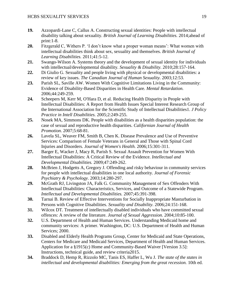- **19.** Azzopardi-Lane C, Callus A. Constructing sexual identities: People with intellectual disability talking about sexuality. *British Journal of Learning Disabilities.* 2014;ahead of print:1-8.
- **20.** Fitzgerald C, Withers P. 'I don't know what a proper woman means': What women with intellectual disabilities think about sex, sexuality and themselves. *British Journal of Learning Disabilities.* 2011;41:5-12.
- **21.** Swango-Wilson A. Systems theory and the development of sexual identity for individuals with intellectual/developmental disability. *Sexuality & Disability.* 2010;28:157-164.
- **22.** Di Giulio G. Sexuality and people living with physical or developmental disabilities: a review of key issues. *The Canadian Journal of Human Sexuality.* 2003;12:53.
- **23.** Parish SL, Saville AW. Women With Cognitive Limitations Living in the Community: Evidence of Disability-Based Disparities in Health Care. *Mental Retardation.* 2006;44:249-259.
- **24.** Scheepers M, Kerr M, O'Hara D, et al. Reducing Health Disparity in People with Intellectual Disabilities: A Report from Health Issues Special Interest Research Group of the International Association for the Scientific Study of Intellectual Disabilities1. *J Policy Practice in Intell Disabilities.* 2005;2:249-255.
- **25.** Nosek MA, Simmons DK. People with disabilities as a health disparities population: the case of sexual and reproductive health disparities. *Californian Journal of Health Promotion.* 2007;5:68-81.
- **26.** Lavela SL, Weaver FM, Smith B, Chen K. Disease Prevalence and Use of Preventive Services: Comparison of Female Veterans in General and Those with Spinal Cord Injuries and Disorders. *Journal of Women's Health.* 2006;15:301-311.
- **27.** Barger E, Wacker J, Macy R, Parish S. Sexual Assault Prevention for Women With Intellectual Disabilities: A Critical Review of the Evidence. *Intellectual and Developmental Disabilities.* 2009;47:249-262.
- **28.** McBrien J, Hodgetts A, Gregory J. Offending and risky behaviour in community services for people with intellectual disabilities in one local authority. *Journal of Forensic Psychiatry & Psychology.* 2003;14:280-297.
- **29.** McGrath RJ, Livingston JA, Falk G. Community Management of Sex Offenders With Intellectual Disabilities: Characteristics, Services, and Outcome of a Statewide Program. *Intellectual and Developmental Disabilities.* 2007;45:391-398.
- **30.** Tarnai B. Review of Effective Interventions for Socially Inappropriate Masturbation in Persons with Cognitive Disabilities. *Sexuality and Disability.* 2006;24:151-168.
- **31.** Wilcox DT. Treatment of intellectually disabled individuals who have committed sexual offences: A review of the literature. *Journal of Sexual Aggression.* 2004;10:85-100.
- **32.** U.S. Department of Health and Human Services. Understanding Medicaid home and community services: A primer. Washington, DC: U.S. Department of Health and Human Services; 2000.
- **33.** Disabled and Elderly Health Programs Group, Center for Medicaid and State Operations, Centers for Medicare and Medicaid Services, Department of Health and Human Services. Application for a §1915(c) Home and Community-Based Waiver [Version 3.5]: Instructions, technical guide, and review criteria2015.
- **34.** Braddock D, Hemp R, Rizzolo MC, Tanis ES, Haffer L, Wu J. *The state of the states in intellectual and developmental disabilities: Emerging from the great recession.* 10th ed.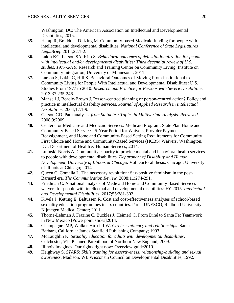Washington, DC: The American Association on Intellectual and Developmental Disabilities; 2015.

- **35.** Hemp R, Braddock D, King M. Community-based Medicaid funding for people with intellectual and developmental disabilities. *National Conference of State Legislatures LegisBrief.* 2014;22:1-2.
- **36.** Lakin KC, Larson SA, Kim S. *Behavioral outcomes of deinstitutionalization for people with intellectual and/or developmental disabilities: Third decennial review of U.S. studies, 1977-2010*: Research and Training Center on Community Living, Institute on Community Integration, University of Minnesota.; 2011.
- **37.** Larson S, Lakin C, Hill S. Behavioral Outcomes of Moving From Institutional to Community Living for People With Intellectual and Developmental Disabilities: U.S. Studies From 1977 to 2010. *Research and Practice for Persons with Severe Disabilities.* 2013;37:235-246.
- **38.** Mansell J, Beadle-Brown J. Person-centred planning or person-centred action? Policy and practice in intellectual disability services. *Journal of Applied Research in Intellectual Disabilities.* 2004;17:1-9.
- **39.** Garson GD. Path analysis. *from Statnotes: Topics in Multivariate Analysis. Retrieved.* 2008;9:2009.
- **40.** Centers for Medicare and Medicaid Services. Medicaid Program; State Plan Home and Community-Based Services, 5-Year Period for Waivers, Provider Payment Reassignment, and Home and Community-Based Setting Requirements for Community First Choice and Home and Community-Based Services (HCBS) Waivers. Washington, DC: Department of Health & Human Services; 2014.
- **41.** Lulinski-Norris A. Community capacity to provide mental and behavioral health services to people with developmental disabilities. *Department of Disability and Human Development, University of Illinois at Chicago.* Vol Doctoral thesis. Chicago: University of Illinois at Chicago; 2014.
- **42.** Queen C, Comella L. The necessary revolution: Sex-positive feminism in the post-Barnard era. *The Communication Review.* 2008;11:274-291.
- **43.** Friedman C. A national analysis of Medicaid Home and Community Based Services waivers for people with intellectual and developmental disabilities: FY 2015. *Intellectual and Developmental Disabilities.* 2017;55:281-302.
- **44.** Kivela J, Ketting E, Baltussen R. Cost and cost-effectiveness analyses of school-based sexuality education programmes in six countries. Paris: UNESCO, Radboud University Nijmegen Medical Center; 2011.
- **45.** Thorne-Lehman J, Frazine C, Buckles J, Heimerl C. From Diné to Santa Fe: Teamwork in New Mexico [Powerpoint slides]2014.
- **46.** Champagne MP, Walker-Hirsch LW. *Circles: Intimacy and relationships*. Santa Barbara, California: James Stanfield Publishing Company; 1993.
- **47.** McLaughlin K. *Sexuality education for adults with developmental disabilities*. Colchester, VT: Planned Parenthood of Northern New England; 2009.
- **48.** Illinois Imagines. Our rights right now: Overview guide 2010.
- **49.** Heighway S. *STARS: Skills training for assertiveness, relationship-building and sexual awareness*. Madison, WI: Wisconsin Council on Developmental Disabilities; 1992.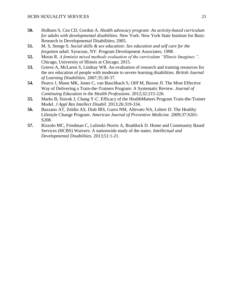- **50.** Holburn S, Cea CD, Gordon A. *Health advocacy program: An activity-based curriculum for adults with developmental disabilities*. New York: New York State Institute for Basic Research in Developmental Disabilities; 2005.
- **51.** M. S, Steege S. *Social skills & sex education: Sex education and self care for the forgotten adult*. Syracuse, NY: Program Development Associates; 1998.
- **52.** Moras R. *A feminist mixed methods evaluation of the curriculum "Illinois Imagines."*. Chicago, University of Illinois at Chicago; 2015.
- **53.** Grieve A, McLaren S, Lindsay WR. An evaluation of research and training resources for the sex education of people with moderate to severe learning disabilities. *British Journal of Learning Disabilities.* 2007;35:30-37.
- **54.** Pearce J, Mann MK, Jones C, van Buschbach S, Olff M, Bisson JI. The Most Effective Way of Delivering a Train-the-Trainers Program: A Systematic Review. *Journal of Continuing Education in the Health Professions.* 2012;32:215-226.
- **55.** Marks B, Sisirak J, Chang Y-C. Efficacy of the HealthMatters Program Train-the-Trainer Model. *J Appl Res Intellect Disabil.* 2013;26:319-334.
- **56.** Bazzano AT, Zeldin AS, Diab IRS, Garro NM, Allevato NA, Lehrer D. The Healthy Lifestyle Change Program. *American Journal of Preventive Medicine.* 2009;37:S201- S208.
- **57.** Rizzolo MC, Friedman C, Lulinski-Norris A, Braddock D. Home and Community Based Services (HCBS) Waivers: A nationwide study of the states. *Intellectual and Developmental Disabilities.* 2013;51:1-21.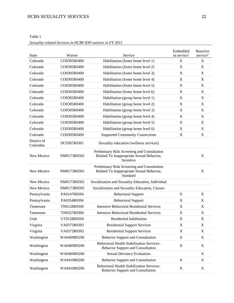| Table 1                                                   |  |
|-----------------------------------------------------------|--|
| Sexuality-related Services in HCBS IDD waivers in FY 2015 |  |

| <b>State</b>            | Waiver      | Service                                                                                               | Embedded<br>in service <sup>1</sup> | Reactive<br>$s$ ervice <sup>2</sup> |
|-------------------------|-------------|-------------------------------------------------------------------------------------------------------|-------------------------------------|-------------------------------------|
| Colorado                | CO0305R0400 | Habilitation (foster home level 1)                                                                    | X                                   | $\mathbf X$                         |
| Colorado                | CO0305R0400 | Habilitation (foster home level 2)                                                                    | X                                   | $\mathbf X$                         |
| Colorado                | CO0305R0400 | Habilitation (foster home level 3)                                                                    | $\mathbf X$                         | $\mathbf X$                         |
| Colorado                | CO0305R0400 | Habilitation (foster home level 4)                                                                    | X                                   | X                                   |
| Colorado                | CO0305R0400 | Habilitation (foster home level 5)                                                                    | X                                   | X                                   |
| Colorado                | CO0305R0400 | Habilitation (foster home level 6)                                                                    | $\mathbf X$                         | X                                   |
| Colorado                | CO0305R0400 | Habilitation (group home level 1)                                                                     | $\mathbf X$                         | $\mathbf X$                         |
| Colorado                | CO0305R0400 | Habilitation (group home level 2)                                                                     | X                                   | X                                   |
| Colorado                | CO0305R0400 | Habilitation (group home level 3)                                                                     | $\mathbf X$                         | X                                   |
| Colorado                | CO0305R0400 | Habilitation (group home level 4)                                                                     | $\mathbf X$                         | $\mathbf X$                         |
| Colorado                | CO0305R0400 | Habilitation (group home level 5)                                                                     | X                                   | $\mathbf X$                         |
| Colorado                | CO0305R0400 | Habilitation (group home level 6)                                                                     | $\mathbf X$                         | $\mathbf X$                         |
| Colorado                | CO0305R0400 | <b>Supported Community Connections</b>                                                                | $\mathbf X$                         | $\mathbf X$                         |
| District of<br>Columbia | DC0307R0301 | Sexuality education (wellness services)                                                               |                                     |                                     |
| New Mexico              | NM0173R0503 | Preliminary Risk Screening and Consultation<br>Related To Inappropriate Sexual Behavior,<br>Incentive |                                     | X                                   |
| New Mexico              | NM0173R0503 | Preliminary Risk Screening and Consultation<br>Related To Inappropriate Sexual Behavior,<br>Standard  |                                     | $\mathbf X$                         |
| New Mexico              | NM0173R0503 | Socialization and Sexuality Education, Individual                                                     |                                     |                                     |
| New Mexico              | NM0173R0503 | Socialization and Sexuality Education, Classes                                                        |                                     |                                     |
| Pennsylvania            | PA0147R0504 | <b>Behavioral Support</b>                                                                             | X                                   | X                                   |
| Pennsylvania            | PA0354R0304 | <b>Behavioral Support</b>                                                                             | X                                   | X                                   |
| Tennessee               | TN0128R0500 | <b>Intensive Behavioral Residential Services</b>                                                      | $\mathbf X$                         | $\mathbf X$                         |
| Tennessee               | TN0357R0300 | <b>Intensive Behavioral Residential Services</b>                                                      | $\mathbf X$                         | X                                   |
| Utah                    | UT0158R0504 | Residential habilitation                                                                              | X                                   | X                                   |
| Virginia                | VA0372R0302 | <b>Residential Support Services</b>                                                                   | $\boldsymbol{\mathrm{X}}$           | X                                   |
| Virginia                | VA0372R0302 | <b>Residential Support Services</b>                                                                   | $\boldsymbol{\mathrm{X}}$           | X                                   |
| Washington              | WA0409R0206 | <b>Behavior Support and Consultation</b>                                                              | X                                   | X                                   |
| Washington              | WA0409R0206 | <b>Behavioral Health Stabilization Services-</b><br><b>Behavior Support and Consultation</b>          | $\mathbf X$                         | X                                   |
| Washington              | WA0409R0206 | Sexual Deviancy Evaluation                                                                            |                                     | X                                   |
| Washington              | WA0410R0206 | <b>Behavior Support and Consultation</b>                                                              | X                                   | X                                   |
| Washington              | WA0410R0206 | <b>Behavioral Health Stabilization Services-</b><br><b>Behavior Support and Consultation</b>          | X                                   | X                                   |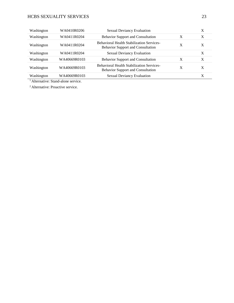# HCBS SEXUALITY SERVICES 23

| Washington | WA0410R0206  | <b>Sexual Deviancy Evaluation</b>                                                            |   | Χ |
|------------|--------------|----------------------------------------------------------------------------------------------|---|---|
| Washington | WA0411R0204  | <b>Behavior Support and Consultation</b>                                                     | X | X |
| Washington | WA0411R0204  | <b>Behavioral Health Stabilization Services-</b><br><b>Behavior Support and Consultation</b> | X | X |
| Washington | WA0411R0204  | <b>Sexual Deviancy Evaluation</b>                                                            |   | X |
| Washington | WA40669R0103 | <b>Behavior Support and Consultation</b>                                                     | Χ | X |
| Washington | WA40669R0103 | <b>Behavioral Health Stabilization Services-</b><br><b>Behavior Support and Consultation</b> | X | X |
| Washington | WA40669R0103 | <b>Sexual Deviancy Evaluation</b>                                                            |   | X |

<sup>1</sup> Alternative: Stand-alone service.

<sup>2</sup> Alternative: Proactive service.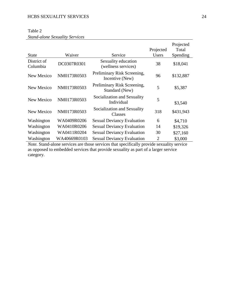### Table 2

# *Stand-alone Sexuality Services*

| <b>State</b>            | Waiver       | Service                                        | Projected<br>Users | Projected<br>Total<br>Spending |
|-------------------------|--------------|------------------------------------------------|--------------------|--------------------------------|
| District of<br>Columbia | DC0307R0301  | Sexuality education<br>(wellness services)     | 38                 | \$18,041                       |
| New Mexico              | NM0173R0503  | Preliminary Risk Screening,<br>Incentive (New) | 96                 | \$132,887                      |
| New Mexico              | NM0173R0503  | Preliminary Risk Screening,<br>Standard (New)  | 5                  | \$5,387                        |
| New Mexico              | NM0173R0503  | Socialization and Sexuality<br>Individual      | 5                  | \$3,540                        |
| New Mexico              | NM0173R0503  | Socialization and Sexuality<br>Classes         | 318                | \$431,943                      |
| Washington              | WA0409R0206  | <b>Sexual Deviancy Evaluation</b>              | 6                  | \$4,710                        |
| Washington              | WA0410R0206  | <b>Sexual Deviancy Evaluation</b>              | 14                 | \$19,326                       |
| Washington              | WA0411R0204  | <b>Sexual Deviancy Evaluation</b>              | 30                 | \$27,160                       |
| Washington              | WA40669R0103 | <b>Sexual Deviancy Evaluation</b>              | 2                  | \$3,000                        |

*Note.* Stand-alone services are those services that specifically provide sexuality service as opposed to embedded services that provide sexuality as part of a larger service category.